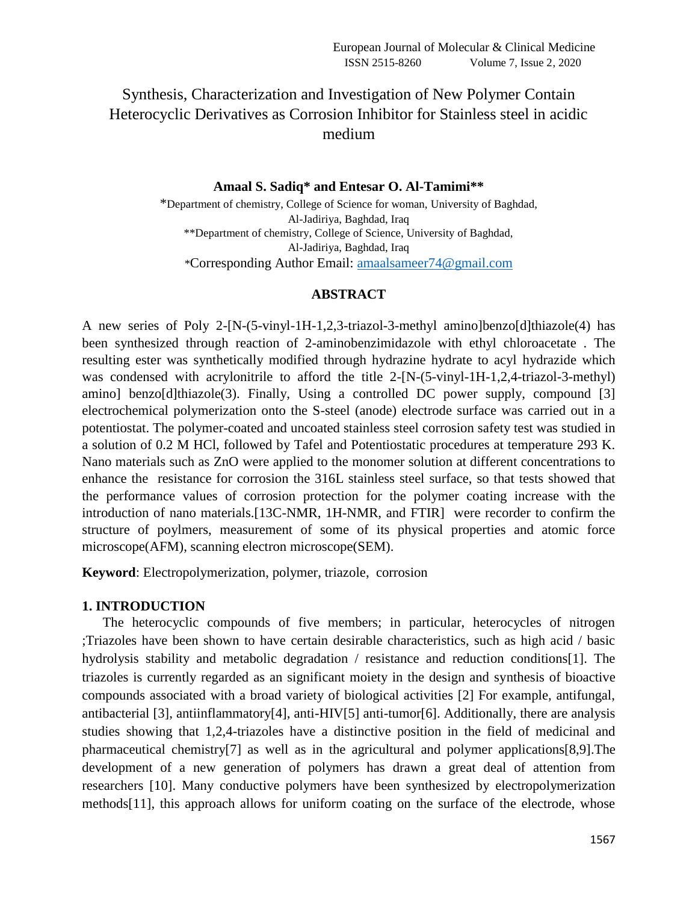# Synthesis, Characterization and Investigation of New Polymer Contain Heterocyclic Derivatives as Corrosion Inhibitor for Stainless steel in acidic medium

### **Amaal S. Sadiq\* and Entesar O. Al-Tamimi\*\***

\*Department of chemistry, College of Science for woman, University of Baghdad, Al-Jadiriya, Baghdad, Iraq \*\*Department of chemistry, College of Science, University of Baghdad, Al-Jadiriya, Baghdad, Iraq \*Corresponding Author Email: [amaalsameer74@gmail.com](mailto:amaalsameer74@gmail.com)

### **ABSTRACT**

A new series of Poly 2-[N-(5-vinyl-1H-1,2,3-triazol-3-methyl amino]benzo[d]thiazole(4) has been synthesized through reaction of 2-aminobenzimidazole with ethyl chloroacetate . The resulting ester was synthetically modified through hydrazine hydrate to acyl hydrazide which was condensed with acrylonitrile to afford the title 2-[N-(5-vinyl-1H-1,2,4-triazol-3-methyl) amino] benzo[d]thiazole(3). Finally, Using a controlled DC power supply, compound [3] electrochemical polymerization onto the S-steel (anode) electrode surface was carried out in a potentiostat. The polymer-coated and uncoated stainless steel corrosion safety test was studied in a solution of 0.2 M HCl, followed by Tafel and Potentiostatic procedures at temperature 293 K. Nano materials such as ZnO were applied to the monomer solution at different concentrations to enhance the resistance for corrosion the 316L stainless steel surface, so that tests showed that the performance values of corrosion protection for the polymer coating increase with the introduction of nano materials.[13C-NMR, 1H-NMR, and FTIR] were recorder to confirm the structure of poylmers, measurement of some of its physical properties and atomic force microscope(AFM), scanning electron microscope(SEM).

**Keyword**: Electropolymerization, polymer, triazole, corrosion

### **1. INTRODUCTION**

 The heterocyclic compounds of five members; in particular, heterocycles of nitrogen ;Triazoles have been shown to have certain desirable characteristics, such as high acid / basic hydrolysis stability and metabolic degradation / resistance and reduction conditions[1]. The triazoles is currently regarded as an significant moiety in the design and synthesis of bioactive compounds associated with a broad variety of biological activities [2] For example, antifungal, antibacterial [3], antiinflammatory[4], anti-HIV[5] anti-tumor[6]. Additionally, there are analysis studies showing that 1,2,4-triazoles have a distinctive position in the field of medicinal and pharmaceutical chemistry[7] as well as in the agricultural and polymer applications[8,9].The development of a new generation of polymers has drawn a great deal of attention from researchers [10]. Many conductive polymers have been synthesized by electropolymerization methods[11], this approach allows for uniform coating on the surface of the electrode, whose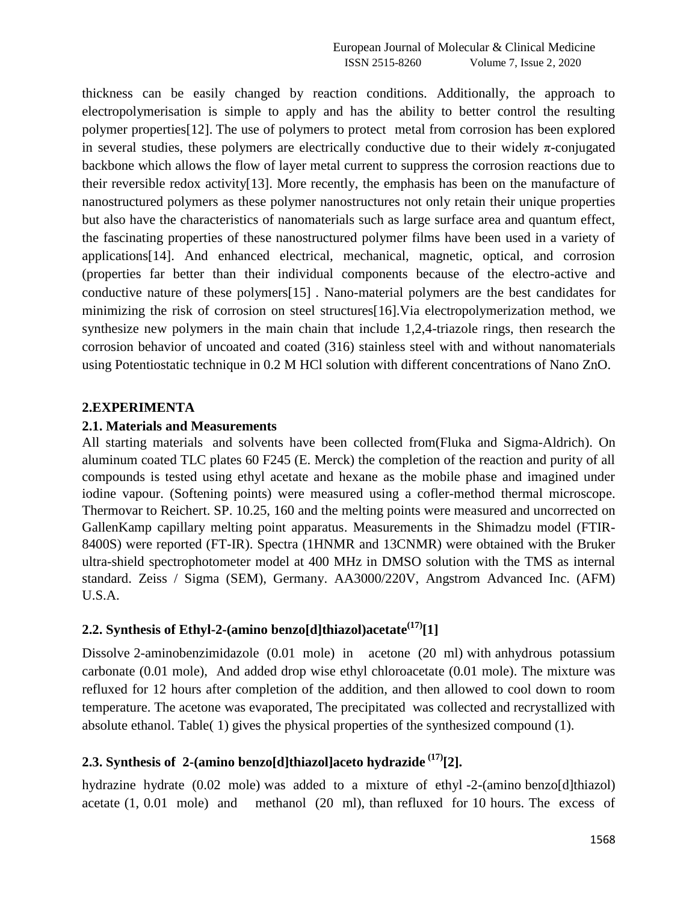thickness can be easily changed by reaction conditions. Additionally, the approach to electropolymerisation is simple to apply and has the ability to better control the resulting polymer properties[12]. The use of polymers to protect) metal from corrosion has been explored in several studies, these polymers are electrically conductive due to their widely  $\pi$ -conjugated backbone which allows the flow of layer metal current to suppress the corrosion reactions due to their reversible redox activity[13]. More recently, the emphasis has been on the manufacture of nanostructured polymers as these polymer nanostructures not only retain their unique properties but also have the characteristics of nanomaterials such as large surface area and quantum effect, the fascinating properties of these nanostructured polymer films have been used in a variety of applications[14]. And enhanced electrical, mechanical, magnetic, optical, and corrosion (properties far better than their individual components because of the electro-active and conductive nature of these polymers[15]). Nano-material polymers are the best candidates for minimizing the risk of corrosion on steel structures[16].Via electropolymerization method, we synthesize new polymers in the main chain that include 1,2,4-triazole rings, then research the corrosion behavior of uncoated and coated (316) stainless steel with and without nanomaterials using Potentiostatic technique in 0.2 M HCl solution with different concentrations of Nano ZnO.

### **2.EXPERIMENTA**

### **2.1. Materials and Measurements**

All starting materials, and solvents have been collected from(Fluka and Sigma-Aldrich). On aluminum coated TLC plates 60 F245 (E. Merck) the completion of the reaction and purity of all compounds is tested using ethyl acetate and hexane as the mobile phase and imagined under iodine vapour. (Softening points) were measured using a cofler-method thermal microscope. Thermovar to Reichert. SP. 10.25, 160 and the melting points were measured and uncorrected on GallenKamp capillary melting point apparatus. Measurements in the Shimadzu model (FTIR-8400S) were reported (FT-IR). Spectra (1HNMR and 13CNMR) were obtained with the Bruker ultra-shield spectrophotometer model at 400 MHz in DMSO solution with the TMS as internal standard. Zeiss / Sigma (SEM), Germany. AA3000/220V, Angstrom Advanced Inc. (AFM) U.S.A.

## **2.2. Synthesis of Ethyl-2-(amino benzo[d]thiazol)acetate(17) [1]**

Dissolve 2-aminobenzimidazole (0.01 mole) in acetone (20 ml) with anhydrous potassium carbonate (0.01 mole), And added drop wise ethyl chloroacetate (0.01 mole). The mixture was refluxed for 12 hours after completion of the addition, and then allowed to cool down to room temperature. The acetone was evaporated, The precipitated was collected and recrystallized with absolute ethanol. Table( 1) gives the physical properties of the synthesized compound (1).

## **2.3. Synthesis of 2-(amino benzo[d]thiazol]aceto hydrazide (17) [2].**

hydrazine hydrate (0.02 mole) was added to a mixture of ethyl -2-(amino benzo[d]thiazol) acetate (1, 0.01 mole) and methanol (20 ml), than refluxed for 10 hours. The excess of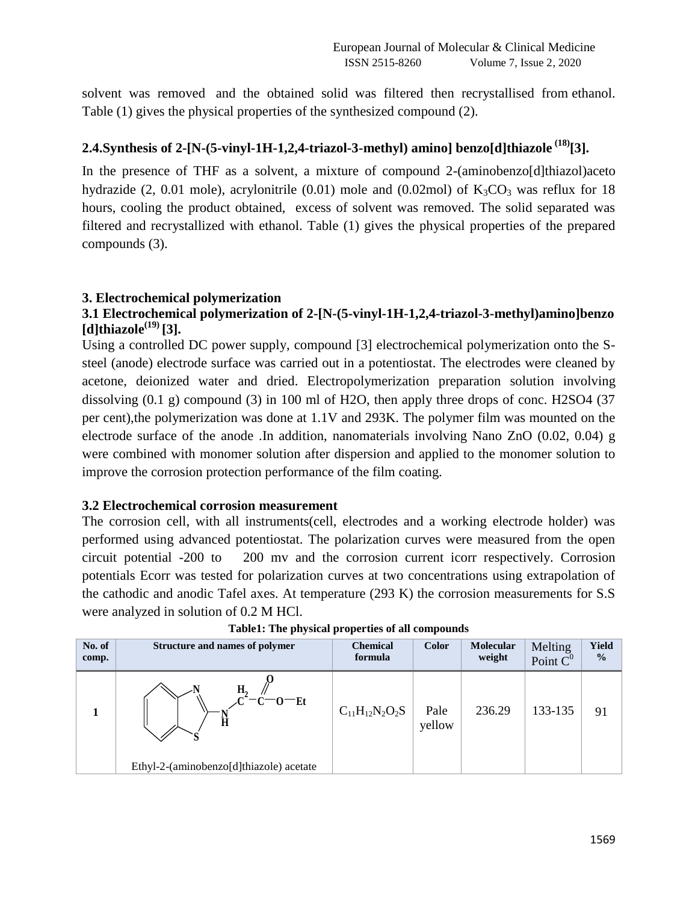solvent was removed and the obtained solid was filtered then recrystallised from ethanol. Table (1) gives the physical properties of the synthesized compound (2).

## **2.4.Synthesis of 2-[N-(5-vinyl-1H-1,2,4-triazol-3-methyl) amino] benzo[d]thiazole (18) [3].**

In the presence of THF as a solvent, a mixture of compound 2-(aminobenzo[d]thiazol)aceto hydrazide (2, 0.01 mole), acrylonitrile (0.01) mole and (0.02mol) of  $K_3CO_3$  was reflux for 18 hours, cooling the product obtained, excess of solvent was removed. The solid separated was filtered and recrystallized with ethanol. Table (1) gives the physical properties of the prepared compounds (3).

### **3. Electrochemical polymerization**

### **3.1 Electrochemical polymerization of 2-[N-(5-vinyl-1H-1,2,4-triazol-3-methyl)amino]benzo [d]thiazole(19) [3].**

Using a controlled DC power supply, compound [3] electrochemical polymerization onto the Ssteel (anode) electrode surface was carried out in a potentiostat. The electrodes were cleaned by acetone, deionized water and dried. Electropolymerization preparation solution involving dissolving (0.1 g) compound (3) in 100 ml of H2O, then apply three drops of conc. H2SO4 (37 per cent),the polymerization was done at 1.1V and 293K. The polymer film was mounted on the electrode surface of the anode .In addition, nanomaterials involving Nano ZnO (0.02, 0.04) g were combined with monomer solution after dispersion and applied to the monomer solution to improve the corrosion protection performance of the film coating.

### **3.2 Electrochemical corrosion measurement**

The corrosion cell, with all instruments(cell, electrodes and a working electrode holder) was performed using advanced potentiostat. The polarization curves were measured from the open circuit potential -200 to 200 mv and the corrosion current icorr respectively. Corrosion potentials Ecorr was tested for polarization curves at two concentrations using extrapolation of the cathodic and anodic Tafel axes. At temperature (293 K) the corrosion measurements for S.S were analyzed in solution of 0.2 M HCl.

| No. of<br>comp. | <b>Structure and names of polymer</b>   | <b>Chemical</b><br>formula | <b>Color</b>   | <b>Molecular</b><br>weight | Melting<br>Point $C^0$ | Yield<br>$\frac{0}{0}$ |
|-----------------|-----------------------------------------|----------------------------|----------------|----------------------------|------------------------|------------------------|
|                 | Н,<br>$-c$ - $c$ - $E$ t<br>Ħ           | $C_{11}H_{12}N_2O_2S$      | Pale<br>yellow | 236.29                     | 133-135                | 91                     |
|                 | Ethyl-2-(aminobenzo[d]thiazole) acetate |                            |                |                            |                        |                        |

**Table1: The physical properties of all compounds**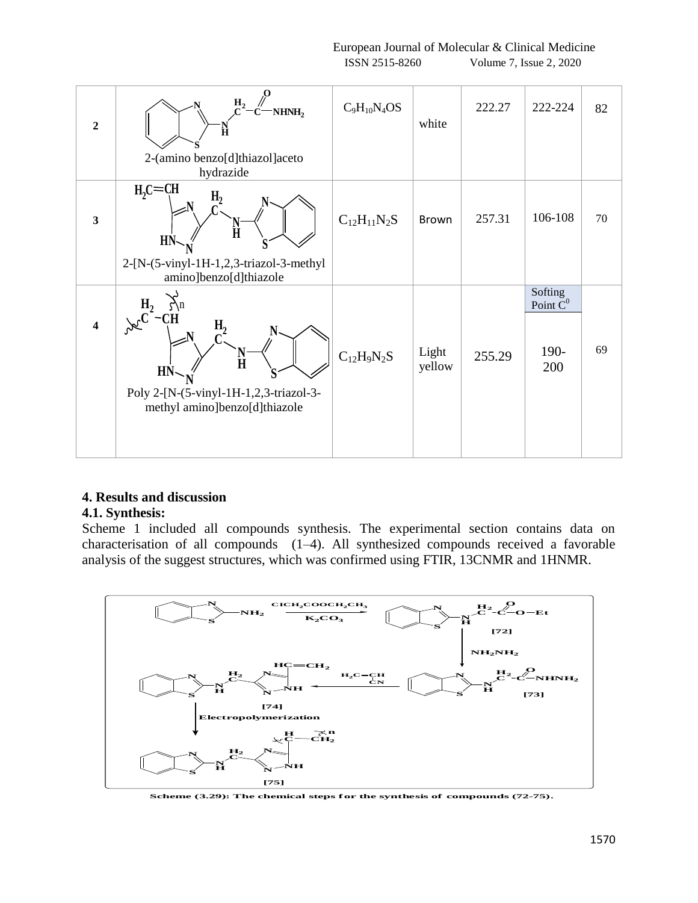European Journal of Molecular & Clinical Medicine ISSN 2515-8260 Volume 7, Issue 2, 2020

| $\overline{2}$          | NHNH <sub>2</sub><br>$\frac{\text{N}}{\text{H}}$<br>2-(amino benzo[d]thiazol]aceto<br>hydrazide                                                                                                            | $C_9H_{10}N_4OS$   | white           | 222.27 | 222-224                               | 82 |
|-------------------------|------------------------------------------------------------------------------------------------------------------------------------------------------------------------------------------------------------|--------------------|-----------------|--------|---------------------------------------|----|
| $\overline{\mathbf{3}}$ | $H2C = CH$<br>${\rm H_2}$<br>Ħ<br>HN<br>S<br>2-[N-(5-vinyl-1H-1,2,3-triazol-3-methyl<br>amino]benzo[d]thiazole                                                                                             | $C_{12}H_{11}N_2S$ | Brown           | 257.31 | 106-108                               | 70 |
| $\overline{\mathbf{4}}$ | $\sum_{n=1}^{\infty}$<br>$H_2$<br>$\overline{\text{C}}\textbf{H}$<br>$\frac{H_2}{C_1}$<br>$\frac{\mathbf{N}}{\mathbf{H}}$<br>HN<br>Poly 2-[N-(5-vinyl-1H-1,2,3-triazol-3-<br>methyl amino]benzo[d]thiazole | $C_{12}H_9N_2S$    | Light<br>yellow | 255.29 | Softing<br>Point $C^0$<br>190-<br>200 | 69 |

## **4. Results and discussion**

### **4.1. Synthesis:**

Scheme 1 included all compounds synthesis. The experimental section contains data on characterisation of all compounds (1–4). All synthesized compounds received a favorable analysis of the suggest structures, which was confirmed using FTIR, 13CNMR and 1HNMR.



**Scheme (3.29): The chemical steps for the synthesis of compounds (72-75).**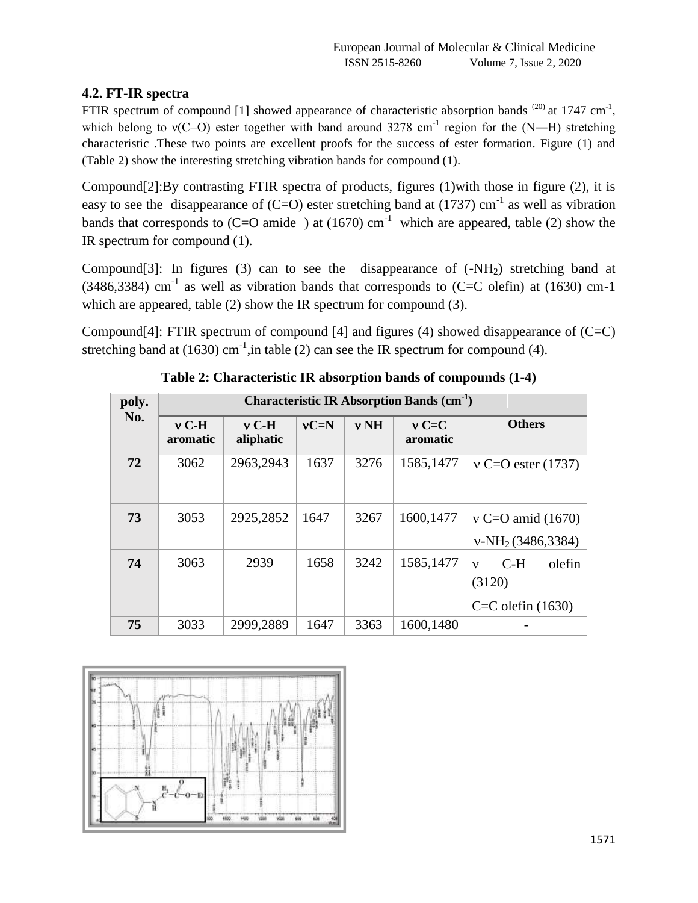## **4.2. FT-IR spectra**

FTIR spectrum of compound [1] showed appearance of characteristic absorption bands  $^{(20)}$  at 1747 cm<sup>-1</sup>, which belong to  $v(C=O)$  ester together with band around 3278 cm<sup>-1</sup> region for the (N—H) stretching characteristic .These two points are excellent proofs for the success of ester formation. Figure (1) and (Table 2) show the interesting stretching vibration bands for compound (1).

Compound[2]:By contrasting FTIR spectra of products, figures (1)with those in figure (2), it is easy to see the disappearance of  $(C=O)$  ester stretching band at (1737) cm<sup>-1</sup> as well as vibration bands that corresponds to (C=O amide) at (1670)  $cm^{-1}$  which are appeared, table (2) show the IR spectrum for compound (1).

Compound[3]: In figures (3) can to see the disappearance of  $(-NH<sub>2</sub>)$  stretching band at  $(3486,3384)$  cm<sup>-1</sup> as well as vibration bands that corresponds to  $(C=C$  olefin) at (1630) cm-1 which are appeared, table (2) show the IR spectrum for compound (3).

Compound[4]: FTIR spectrum of compound [4] and figures (4) showed disappearance of  $(C=C)$ stretching band at (1630)  $cm^{-1}$ , in table (2) can see the IR spectrum for compound (4).

| poly. |                     |                      |        |        | <b>Characteristic IR Absorption Bands (cm<sup>-1</sup>)</b> |                                                                    |
|-------|---------------------|----------------------|--------|--------|-------------------------------------------------------------|--------------------------------------------------------------------|
| No.   | $v$ C-H<br>aromatic | $v$ C-H<br>aliphatic | $vC=N$ | $v$ NH | $vC=C$<br>aromatic                                          | <b>Others</b>                                                      |
| 72    | 3062                | 2963,2943            | 1637   | 3276   | 1585,1477                                                   | $v = O$ ester (1737)                                               |
| 73    | 3053                | 2925,2852            | 1647   | 3267   | 1600,1477                                                   | $v \text{ C=O}$ amid (1670)<br>$v-NH2(3486,3384)$                  |
| 74    | 3063                | 2939                 | 1658   | 3242   | 1585,1477                                                   | $C-H$<br>olefin<br>$\mathbf{v}$<br>(3120)<br>$C=C$ olefin $(1630)$ |
| 75    | 3033                | 2999,2889            | 1647   | 3363   | 1600,1480                                                   |                                                                    |

**Table 2: Characteristic IR absorption bands of compounds (1-4)**

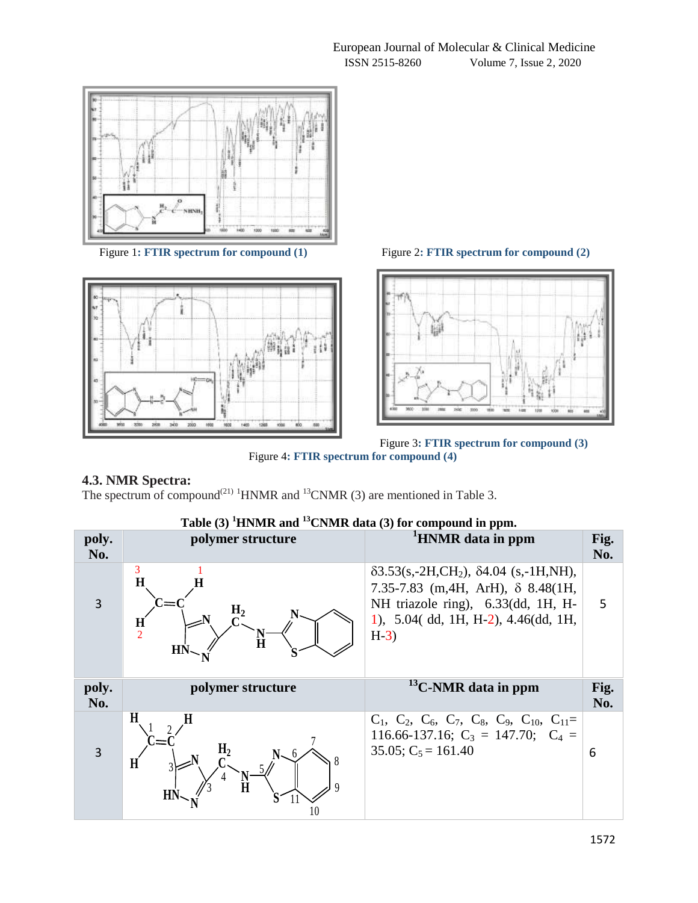



Figure 1**: FTIR spectrum for compound (1)** Figure 2**: FTIR spectrum for compound (2)** 





## **4.3. NMR Spectra:**

The spectrum of compound<sup>(21) 1</sup>HNMR and <sup>13</sup>CNMR (3) are mentioned in Table 3.

# **Table (3) <sup>1</sup>HNMR and <sup>13</sup>CNMR data (3) for compound in ppm.**

| poly.<br>No. | polymer structure                                    | <sup>1</sup> HNMR data in ppm                                                                                                                                                                             | Fig.<br>No. |
|--------------|------------------------------------------------------|-----------------------------------------------------------------------------------------------------------------------------------------------------------------------------------------------------------|-------------|
| 3            | 3<br>H<br>Н,<br>$\frac{H}{2}$<br>Ħ<br>H <sub>N</sub> | $\delta$ 3.53(s,-2H,CH <sub>2</sub> ), $\delta$ 4.04 (s,-1H,NH),<br>7.35-7.83 (m, 4H, ArH), $\delta$ 8.48(1H,<br>NH triazole ring), 6.33(dd, 1H, H-<br>1), $5.04$ (dd, 1H, H-2), $4.46$ (dd, 1H,<br>$H-3$ | 5           |
|              |                                                      |                                                                                                                                                                                                           |             |
| poly.<br>No. | polymer structure<br>H                               | $^{13}$ C-NMR data in ppm                                                                                                                                                                                 | Fig.<br>No. |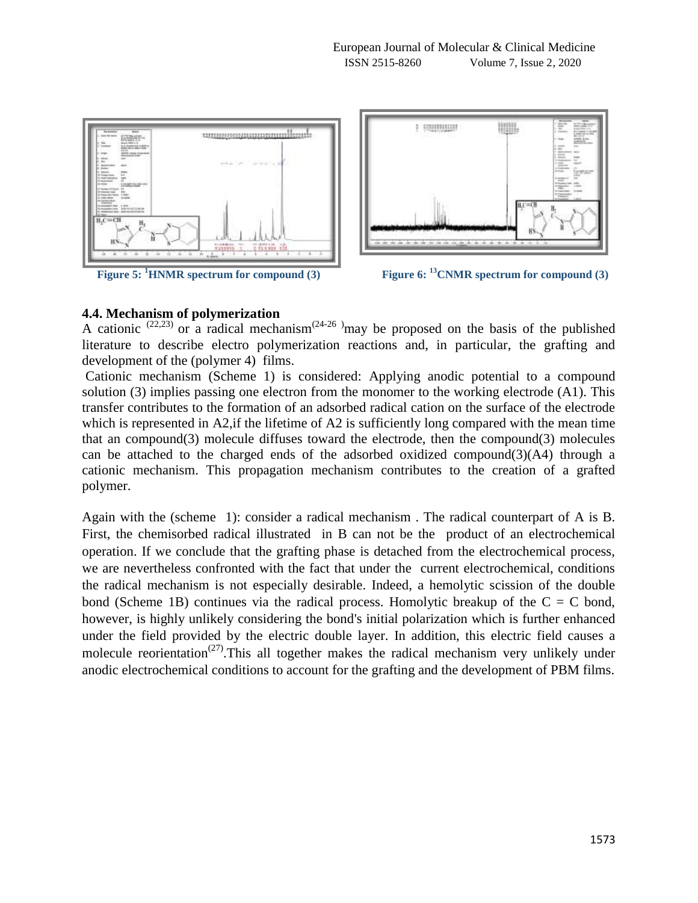



**Figure 5: <sup>1</sup>HNMR spectrum for compound (3) Figure 6: <sup>13</sup>CNMR spectrum for compound (3)**

### **4.4. Mechanism of polymerization**

A cationic  $(22,23)$  or a radical mechanism $(24-26)$  may be proposed on the basis of the published literature to describe electro polymerization reactions and, in particular, the grafting and development of the (polymer 4) films.

Cationic mechanism (Scheme 1) is considered: Applying anodic potential to a compound solution (3) implies passing one electron from the monomer to the working electrode (A1). This transfer contributes to the formation of an adsorbed radical cation on the surface of the electrode which is represented in A2, if the lifetime of A2 is sufficiently long compared with the mean time that an compound(3) molecule diffuses toward the electrode, then the compound(3) molecules can be attached to the charged ends of the adsorbed oxidized compound( $3$ )( $A$ 4) through a cationic mechanism. This propagation mechanism contributes to the creation of a grafted polymer.

Again with the (scheme 1): consider a radical mechanism . The radical counterpart of A is B. First, the chemisorbed radical illustrated in B can not be the product of an electrochemical operation. If we conclude that the grafting phase is detached from the electrochemical process, we are nevertheless confronted with the fact that under the current electrochemical, conditions the radical mechanism is not especially desirable. Indeed, a hemolytic scission of the double bond (Scheme 1B) continues via the radical process. Homolytic breakup of the  $C = C$  bond, however, is highly unlikely considering the bond's initial polarization which is further enhanced under the field provided by the electric double layer. In addition, this electric field causes a molecule reorientation<sup>(27)</sup>. This all together makes the radical mechanism very unlikely under anodic electrochemical conditions to account for the grafting and the development of PBM films.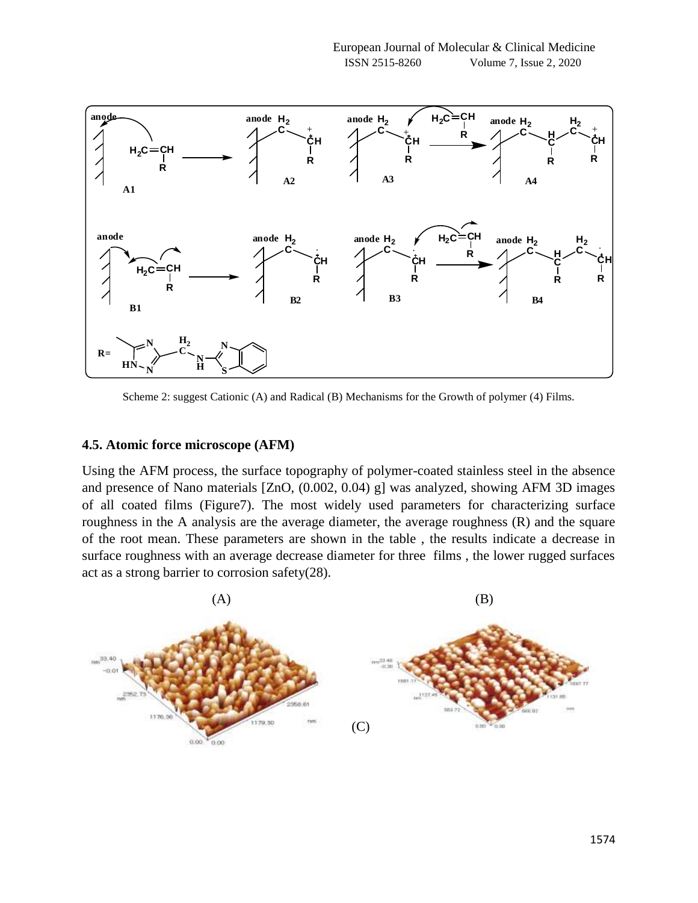

Scheme 2: suggest Cationic (A) and Radical (B) Mechanisms for the Growth of polymer (4) Films.

### **4.5. Atomic force microscope (AFM)**

Using the AFM process, the surface topography of polymer-coated stainless steel in the absence and presence of Nano materials [ZnO, (0.002, 0.04) g] was analyzed, showing AFM 3D images of all coated films (Figure7). The most widely used parameters for characterizing surface roughness in the A analysis are the average diameter, the average roughness (R) and the square of the root mean. These parameters are shown in the table , the results indicate a decrease in surface roughness with an average decrease diameter for three films , the lower rugged surfaces act as a strong barrier to corrosion safety(28).

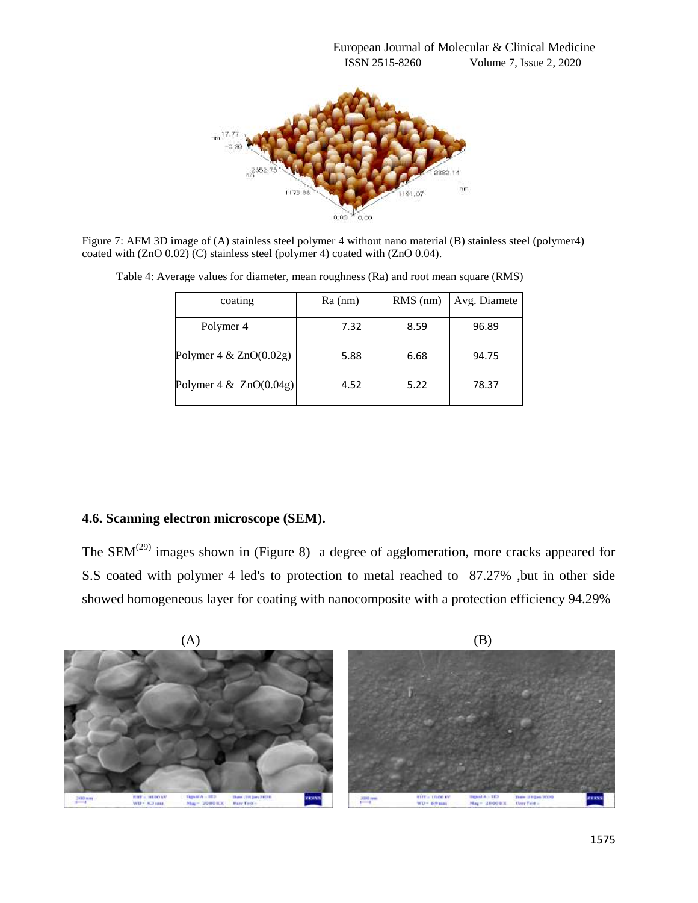

Figure 7: AFM 3D image of (A) stainless steel polymer 4 without nano material (B) stainless steel (polymer4) coated with (ZnO 0.02) (C) stainless steel (polymer 4) coated with (ZnO 0.04).

| coating                   | $Ra$ (nm) | $RMS$ (nm) | Avg. Diamete |
|---------------------------|-----------|------------|--------------|
| Polymer <sub>4</sub>      | 7.32      | 8.59       | 96.89        |
| Polymer $4 & ZnO(0.02g)$  | 5.88      | 6.68       | 94.75        |
| Polymer $4 \& ZnO(0.04g)$ | 4.52      | 5.22       | 78.37        |

Table 4: Average values for diameter, mean roughness (Ra) and root mean square (RMS)

### **4.6. Scanning electron microscope (SEM).**

The  $SEM^{(29)}$  images shown in (Figure 8) a degree of agglomeration, more cracks appeared for S.S coated with polymer 4 led's to protection to metal reached to 87.27% ,but in other side showed homogeneous layer for coating with nanocomposite with a protection efficiency 94.29%

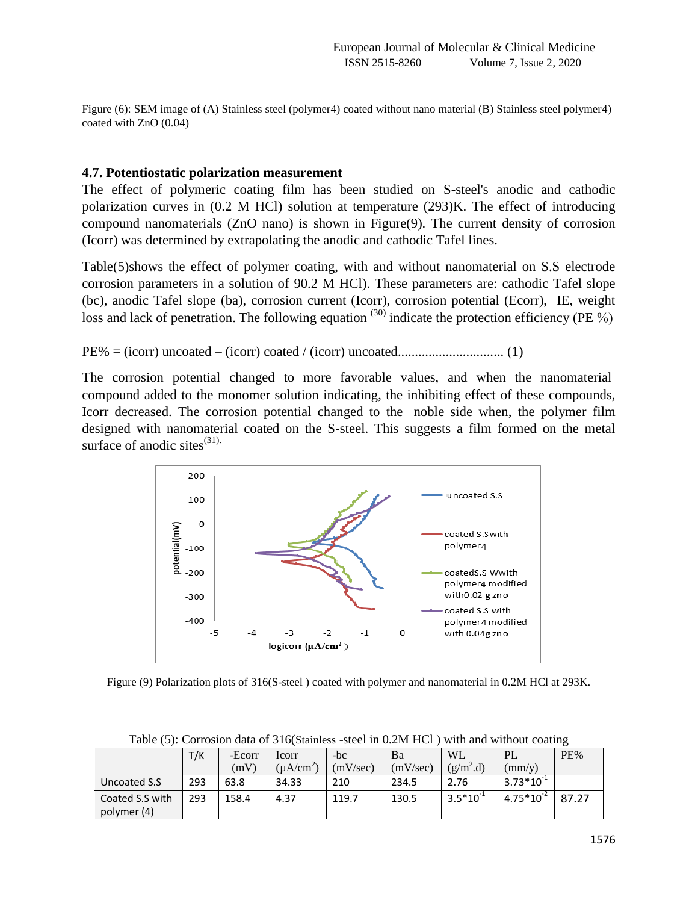Figure (6): SEM image of (A) Stainless steel (polymer4) coated without nano material (B) Stainless steel polymer4) coated with ZnO (0.04)

### **4.7. Potentiostatic polarization measurement**

The effect of polymeric coating film has been studied on S-steel's anodic and cathodic polarization curves in (0.2 M HCl) solution at temperature (293)K. The effect of introducing compound nanomaterials (ZnO nano) is shown in Figure(9). The current density of corrosion (Icorr) was determined by extrapolating the anodic and cathodic Tafel lines.

Table(5)shows the effect of polymer coating, with and without nanomaterial on S.S electrode corrosion parameters in a solution of 90.2 M HCl). These parameters are: cathodic Tafel slope (bc), anodic Tafel slope (ba), corrosion current (Icorr), corrosion potential (Ecorr), IE, weight loss and lack of penetration. The following equation  $(30)$  indicate the protection efficiency (PE %)

PE% = (icorr) uncoated – (icorr) coated / (icorr) uncoated............................... (1)

The corrosion potential changed to more favorable values, and when the nanomaterial, compound added to the monomer solution indicating, the inhibiting effect of these compounds, Icorr decreased. The corrosion potential changed to the noble side when, the polymer film designed with nanomaterial coated on the S-steel. This suggests a film formed on the metal surface of anodic sites $^{(31)}$ .



Figure (9) Polarization plots of 316(S-steel ) coated with polymer and nanomaterial in 0.2M HCl at 293K.

|                 | T/K | -Ecorr | Icorr           | $-bc$    | Ba       | <b>WL</b>     | PL              | PE%   |
|-----------------|-----|--------|-----------------|----------|----------|---------------|-----------------|-------|
|                 |     | (mV)   | $(\mu A/cm^{2}$ | (mV/sec) | (mV/sec) | $(g/m^2.d)$   | $\text{(mm/v)}$ |       |
| Uncoated S.S    | 293 | 63.8   | 34.33           | 210      | 234.5    | 2.76          | $3.73*10^{-1}$  |       |
| Coated S.S with | 293 | 158.4  | 4.37            | 119.7    | 130.5    | $3.5*10^{-1}$ | $4.75*10^{-2}$  | 87.27 |
| polymer (4)     |     |        |                 |          |          |               |                 |       |

Table (5): Corrosion data of 316(Stainless -steel in 0.2M HCl ) with and without coating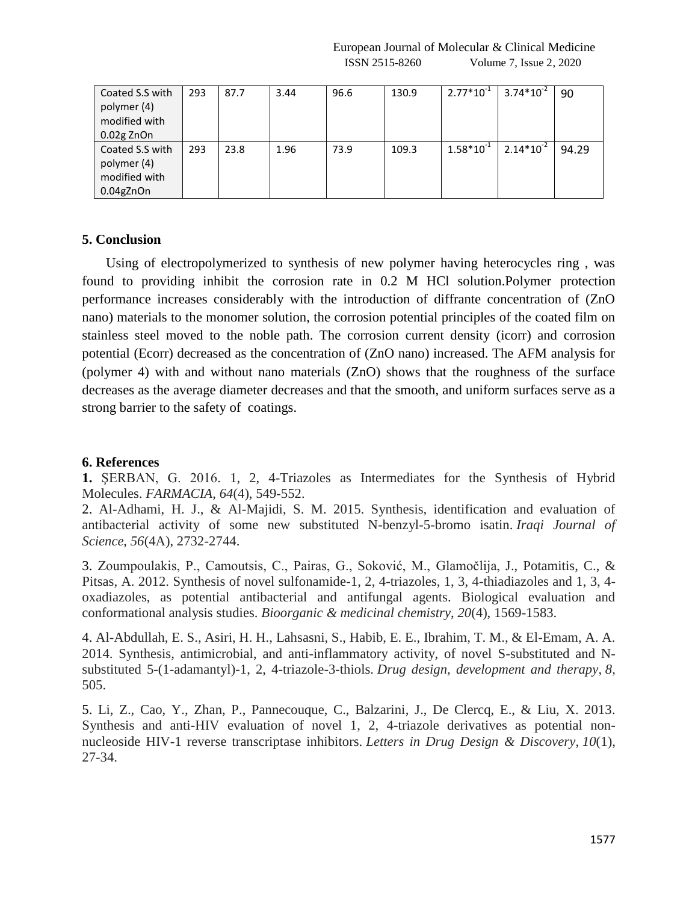| Coated S.S with | 293 | 87.7 | 3.44 | 96.6 | 130.9 | $2.77*10^{-1}$ | $3.74*10^{-2}$ | 90    |
|-----------------|-----|------|------|------|-------|----------------|----------------|-------|
| polymer (4)     |     |      |      |      |       |                |                |       |
| modified with   |     |      |      |      |       |                |                |       |
| $0.02$ g ZnOn   |     |      |      |      |       |                |                |       |
| Coated S.S with | 293 | 23.8 | 1.96 | 73.9 | 109.3 | $1.58*10^{-1}$ | $2.14*10^{-2}$ | 94.29 |
| polymer (4)     |     |      |      |      |       |                |                |       |
| modified with   |     |      |      |      |       |                |                |       |
| $0.04$ gZnOn    |     |      |      |      |       |                |                |       |

### **5. Conclusion**

 Using of electropolymerized to synthesis of new polymer having heterocycles ring , was found to providing inhibit the corrosion rate in 0.2 M HCl solution.Polymer protection performance increases considerably with the introduction of diffrante concentration of (ZnO nano) materials to the monomer solution, the corrosion potential principles of the coated film on stainless steel moved to the noble path. The corrosion current density (icorr) and corrosion potential (Ecorr) decreased as the concentration of (ZnO nano) increased. The AFM analysis for (polymer 4) with and without nano materials (ZnO) shows that the roughness of the surface decreases as the average diameter decreases and that the smooth, and uniform surfaces serve as a strong barrier to the safety of coatings.

#### **6. References**

**1.** ŞERBAN, G. 2016. 1, 2, 4-Triazoles as Intermediates for the Synthesis of Hybrid Molecules. *FARMACIA*, *64*(4), 549-552.

2. Al-Adhami, H. J., & Al-Majidi, S. M. 2015. Synthesis, identification and evaluation of antibacterial activity of some new substituted N-benzyl-5-bromo isatin. *Iraqi Journal of Science*, *56*(4A), 2732-2744.

3. Zoumpoulakis, P., Camoutsis, C., Pairas, G., Soković, M., Glamočlija, J., Potamitis, C., & Pitsas, A. 2012. Synthesis of novel sulfonamide-1, 2, 4-triazoles, 1, 3, 4-thiadiazoles and 1, 3, 4 oxadiazoles, as potential antibacterial and antifungal agents. Biological evaluation and conformational analysis studies. *Bioorganic & medicinal chemistry*, *20*(4), 1569-1583.

4. Al-Abdullah, E. S., Asiri, H. H., Lahsasni, S., Habib, E. E., Ibrahim, T. M., & El-Emam, A. A. 2014. Synthesis, antimicrobial, and anti-inflammatory activity, of novel S-substituted and Nsubstituted 5-(1-adamantyl)-1, 2, 4-triazole-3-thiols. *Drug design, development and therapy*, *8*, 505.

5. Li, Z., Cao, Y., Zhan, P., Pannecouque, C., Balzarini, J., De Clercq, E., & Liu, X. 2013. Synthesis and anti-HIV evaluation of novel 1, 2, 4-triazole derivatives as potential nonnucleoside HIV-1 reverse transcriptase inhibitors. *Letters in Drug Design & Discovery*, *10*(1), 27-34.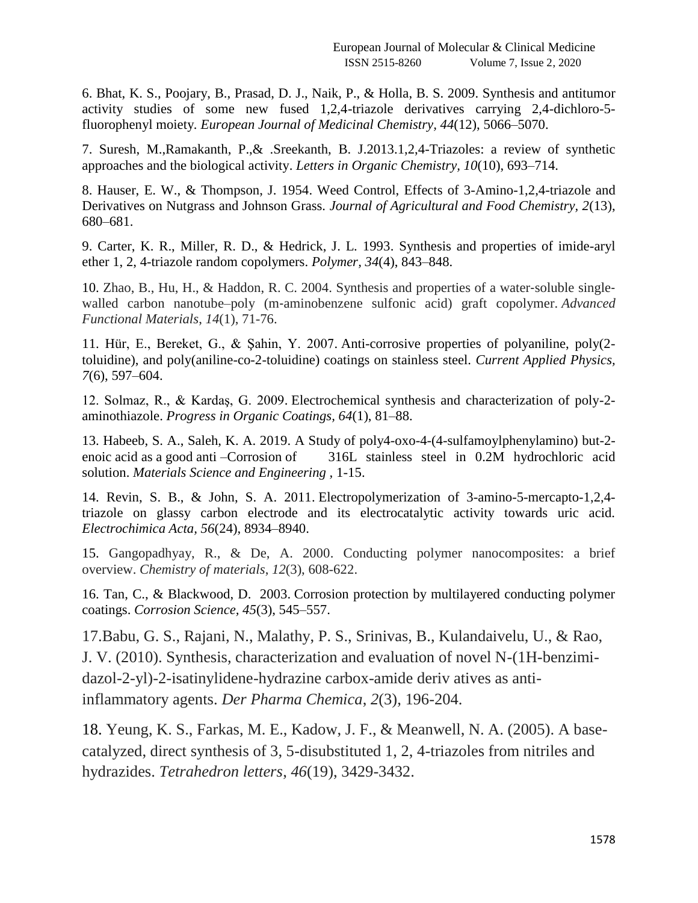6. Bhat, K. S., Poojary, B., Prasad, D. J., Naik, P., & Holla, B. S. 2009. Synthesis and antitumor activity studies of some new fused 1,2,4-triazole derivatives carrying 2,4-dichloro-5 fluorophenyl moiety*. European Journal of Medicinal Chemistry, 44*(12), 5066–5070.

7. Suresh, M.,Ramakanth, P.,& .Sreekanth, B. J.2013.1,2,4-Triazoles: a review of synthetic approaches and the biological activity. *Letters in Organic Chemistry, 10*(10), 693–714.

8. Hauser, E. W., & Thompson, J. 1954. Weed Control, Effects of 3-Amino-1,2,4-triazole and Derivatives on Nutgrass and Johnson Grass. *Journal of Agricultural and Food Chemistry, 2*(13), 680–681.

9. Carter, K. R., Miller, R. D., & Hedrick, J. L. 1993. Synthesis and properties of imide-aryl ether 1, 2, 4-triazole random copolymers. *Polymer, 34*(4), 843–848.

10. Zhao, B., Hu, H., & Haddon, R. C. 2004. Synthesis and properties of a water-soluble singlewalled carbon nanotube–poly (m-aminobenzene sulfonic acid) graft copolymer. *Advanced Functional Materials*, *14*(1), 71-76.

11. Hür, E., Bereket, G., & Şahin, Y. 2007. Anti-corrosive properties of polyaniline, poly(2 toluidine), and poly(aniline-co-2-toluidine) coatings on stainless steel. *Current Applied Physics, 7*(6), 597–604.

12. Solmaz, R., & Kardaş, G. 2009. Electrochemical synthesis and characterization of poly-2 aminothiazole. *Progress in Organic Coatings, 64*(1), 81–88.

13. Habeeb, S. A., Saleh, K. A. 2019. A Study of poly4-oxo-4-(4-sulfamoylphenylamino) but-2 enoic acid as a good anti –Corrosion of 316L stainless steel in 0.2M hydrochloric acid solution. *Materials Science and Engineering ,* 1-15.

14. Revin, S. B., & John, S. A. 2011. Electropolymerization of 3-amino-5-mercapto-1,2,4 triazole on glassy carbon electrode and its electrocatalytic activity towards uric acid. *Electrochimica Acta, 56*(24), 8934–8940.

15. Gangopadhyay, R., & De, A. 2000. Conducting polymer nanocomposites: a brief overview. *Chemistry of materials*, *12*(3), 608-622.

16. Tan, C., & Blackwood, D. 2003. Corrosion protection by multilayered conducting polymer coatings. *Corrosion Science, 45*(3), 545–557.

17.Babu, G. S., Rajani, N., Malathy, P. S., Srinivas, B., Kulandaivelu, U., & Rao, J. V. (2010). Synthesis, characterization and evaluation of novel N-(1H-benzimidazol-2-yl)-2-isatinylidene-hydrazine carbox-amide deriv atives as antiinflammatory agents. *Der Pharma Chemica*, *2*(3), 196-204.

18. Yeung, K. S., Farkas, M. E., Kadow, J. F., & Meanwell, N. A. (2005). A basecatalyzed, direct synthesis of 3, 5-disubstituted 1, 2, 4-triazoles from nitriles and hydrazides. *Tetrahedron letters*, *46*(19), 3429-3432.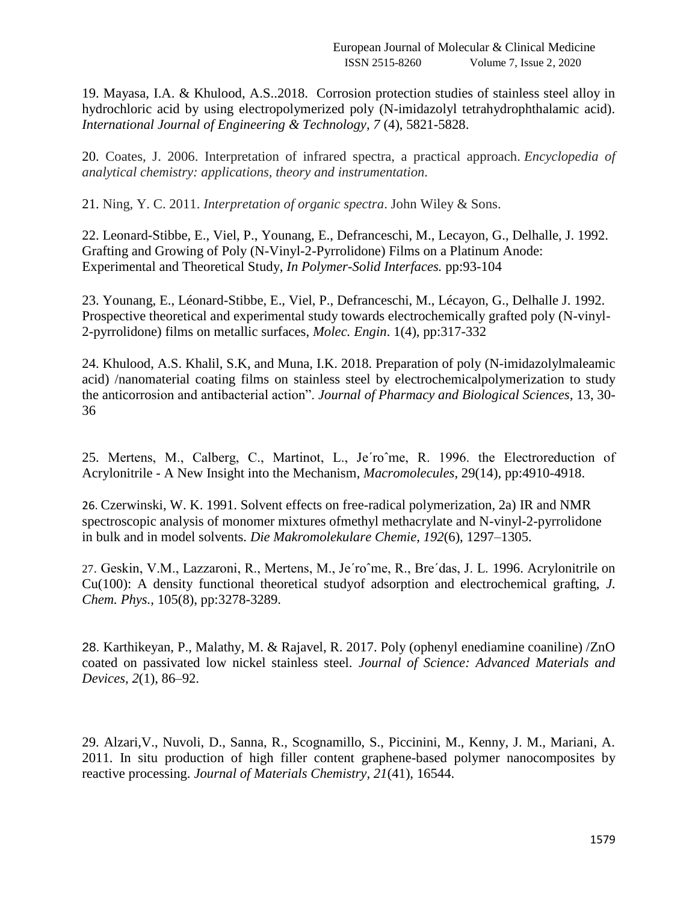19. Mayasa, I.A. & Khulood, A.S..2018. Corrosion protection studies of stainless steel alloy in hydrochloric acid by using electropolymerized poly (N-imidazolyl tetrahydrophthalamic acid). *International Journal of Engineering & Technology, 7* (4), 5821-5828.

20. Coates, J. 2006. Interpretation of infrared spectra, a practical approach. *Encyclopedia of analytical chemistry: applications, theory and instrumentation.*

21. Ning, Y. C. 2011. *Interpretation of organic spectra*. John Wiley & Sons.

22. Leonard-Stibbe, E., Viel, P., Younang, E., Defranceschi, M., Lecayon, G., Delhalle, J. 1992. Grafting and Growing of Poly (N-Vinyl-2-Pyrrolidone) Films on a Platinum Anode: Experimental and Theoretical Study, *In Polymer-Solid Interfaces.* pp:93-104

23. Younang, E., Léonard-Stibbe, E., Viel, P., Defranceschi, M., Lécayon, G., Delhalle J. 1992. Prospective theoretical and experimental study towards electrochemically grafted poly (N-vinyl-2-pyrrolidone) films on metallic surfaces, *Molec. Engin*. 1(4), pp:317-332

24. Khulood, A.S. Khalil, S.K, and Muna, I.K. 2018. Preparation of poly (N-imidazolylmaleamic acid) /nanomaterial coating films on stainless steel by electrochemicalpolymerization to study the anticorrosion and antibacterial action". *Journal of Pharmacy and Biological Sciences,* 13, 30- 36

25. Mertens, M., Calberg, C., Martinot, L., Je´roˆme, R. 1996. the Electroreduction of Acrylonitrile - A New Insight into the Mechanism, *Macromolecules*, 29(14), pp:4910-4918.

26. Czerwinski, W. K. 1991. Solvent effects on free-radical polymerization, 2a) IR and NMR spectroscopic analysis of monomer mixtures ofmethyl methacrylate and N-vinyl-2-pyrrolidone in bulk and in model solvents. *Die Makromolekulare Chemie, 192*(6), 1297–1305.

27. Geskin, V.M., Lazzaroni, R., Mertens, M., Je´roˆme, R., Bre´das, J. L. 1996. Acrylonitrile on Cu(100): A density functional theoretical studyof adsorption and electrochemical grafting, *J. Chem. Phys.,* 105(8), pp:3278-3289.

28. Karthikeyan, P., Malathy, M. & Rajavel, R. 2017. Poly (ophenyl enediamine coaniline) /ZnO coated on passivated low nickel stainless steel. *Journal of Science: Advanced Materials and Devices, 2*(1), 86–92.

29. Alzari,V., Nuvoli, D., Sanna, R., Scognamillo, S., Piccinini, M., Kenny, J. M., Mariani, A. 2011. In situ production of high filler content graphene-based polymer nanocomposites by reactive processing. *Journal of Materials Chemistry, 21*(41), 16544.